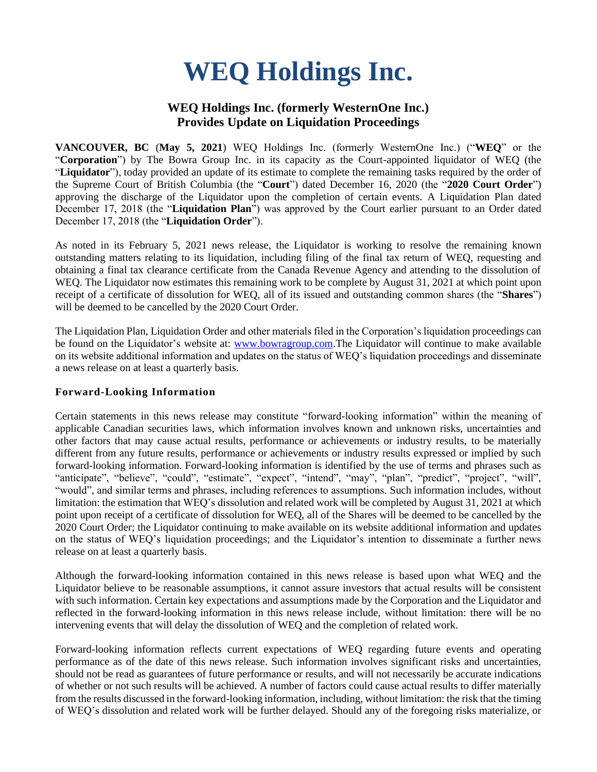# **WEQ Holdings Inc.**

## **WEQ Holdings Inc. (formerly WesternOne Inc.) Provides Update on Liquidation Proceedings**

**VANCOUVER, BC** (**May 5, 2021**) WEQ Holdings Inc. (formerly WesternOne Inc.) ("**WEQ**" or the "**Corporation**") by The Bowra Group Inc. in its capacity as the Court-appointed liquidator of WEQ (the "**Liquidator**"), today provided an update of its estimate to complete the remaining tasks required by the order of the Supreme Court of British Columbia (the "**Court**") dated December 16, 2020 (the "**2020 Court Order**") approving the discharge of the Liquidator upon the completion of certain events. A Liquidation Plan dated December 17, 2018 (the "**Liquidation Plan**") was approved by the Court earlier pursuant to an Order dated December 17, 2018 (the "**Liquidation Order**").

As noted in its February 5, 2021 news release, the Liquidator is working to resolve the remaining known outstanding matters relating to its liquidation, including filing of the final tax return of WEQ, requesting and obtaining a final tax clearance certificate from the Canada Revenue Agency and attending to the dissolution of WEQ. The Liquidator now estimates this remaining work to be complete by August 31, 2021 at which point upon receipt of a certificate of dissolution for WEQ, all of its issued and outstanding common shares (the "**Shares**") will be deemed to be cancelled by the 2020 Court Order.

The Liquidation Plan, Liquidation Order and other materials filed in the Corporation's liquidation proceedings can be found on the Liquidator's website at: [www.bowragroup.com.](http://www.bowragroup.com/)The Liquidator will continue to make available on its website additional information and updates on the status of WEQ's liquidation proceedings and disseminate a news release on at least a quarterly basis.

#### **Forward-Looking Information**

Certain statements in this news release may constitute "forward-looking information" within the meaning of applicable Canadian securities laws, which information involves known and unknown risks, uncertainties and other factors that may cause actual results, performance or achievements or industry results, to be materially different from any future results, performance or achievements or industry results expressed or implied by such forward-looking information. Forward-looking information is identified by the use of terms and phrases such as "anticipate", "believe", "could", "estimate", "expect", "intend", "may", "plan", "predict", "project", "will", "would", and similar terms and phrases, including references to assumptions. Such information includes, without limitation: the estimation that WEQ's dissolution and related work will be completed by August 31, 2021 at which point upon receipt of a certificate of dissolution for WEQ, all of the Shares will be deemed to be cancelled by the 2020 Court Order; the Liquidator continuing to make available on its website additional information and updates on the status of WEQ's liquidation proceedings; and the Liquidator's intention to disseminate a further news release on at least a quarterly basis.

Although the forward-looking information contained in this news release is based upon what WEQ and the Liquidator believe to be reasonable assumptions, it cannot assure investors that actual results will be consistent with such information. Certain key expectations and assumptions made by the Corporation and the Liquidator and reflected in the forward-looking information in this news release include, without limitation: there will be no intervening events that will delay the dissolution of WEQ and the completion of related work.

Forward-looking information reflects current expectations of WEQ regarding future events and operating performance as of the date of this news release. Such information involves significant risks and uncertainties, should not be read as guarantees of future performance or results, and will not necessarily be accurate indications of whether or not such results will be achieved. A number of factors could cause actual results to differ materially from the results discussed in the forward-looking information, including, without limitation: the risk that the timing of WEQ's dissolution and related work will be further delayed. Should any of the foregoing risks materialize, or